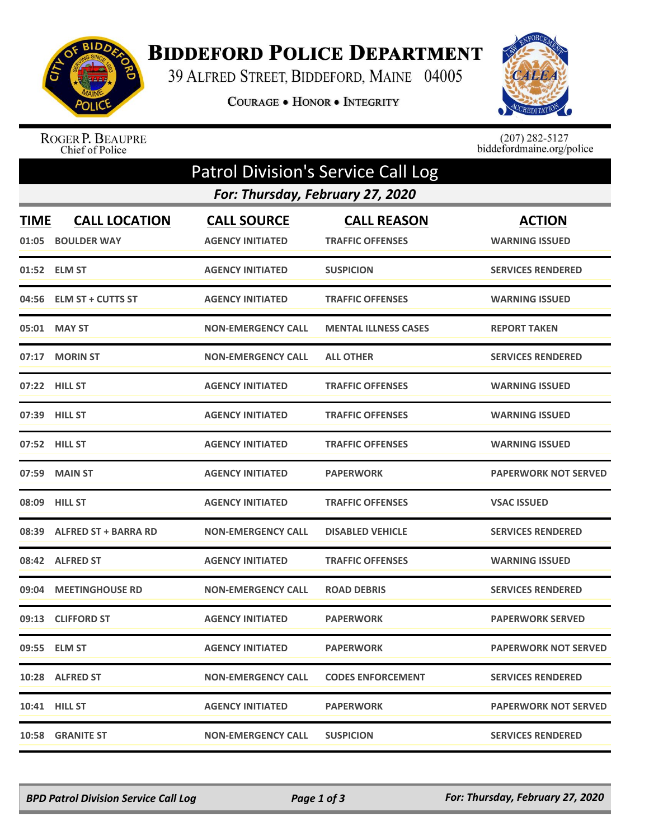

## **BIDDEFORD POLICE DEPARTMENT**

39 ALFRED STREET, BIDDEFORD, MAINE 04005

COURAGE . HONOR . INTEGRITY



## ROGER P. BEAUPRE<br>Chief of Police

 $(207)$  282-5127<br>biddefordmaine.org/police

| <b>Patrol Division's Service Call Log</b> |                                           |                                               |                                               |                                        |  |  |  |  |
|-------------------------------------------|-------------------------------------------|-----------------------------------------------|-----------------------------------------------|----------------------------------------|--|--|--|--|
|                                           | For: Thursday, February 27, 2020          |                                               |                                               |                                        |  |  |  |  |
| <b>TIME</b>                               | <b>CALL LOCATION</b><br>01:05 BOULDER WAY | <b>CALL SOURCE</b><br><b>AGENCY INITIATED</b> | <b>CALL REASON</b><br><b>TRAFFIC OFFENSES</b> | <b>ACTION</b><br><b>WARNING ISSUED</b> |  |  |  |  |
|                                           | 01:52 ELM ST                              | <b>AGENCY INITIATED</b>                       | <b>SUSPICION</b>                              | <b>SERVICES RENDERED</b>               |  |  |  |  |
|                                           | 04:56 ELM ST + CUTTS ST                   | <b>AGENCY INITIATED</b>                       | <b>TRAFFIC OFFENSES</b>                       | <b>WARNING ISSUED</b>                  |  |  |  |  |
|                                           | 05:01 MAY ST                              | <b>NON-EMERGENCY CALL</b>                     | <b>MENTAL ILLNESS CASES</b>                   | <b>REPORT TAKEN</b>                    |  |  |  |  |
|                                           | 07:17 MORIN ST                            | <b>NON-EMERGENCY CALL</b>                     | <b>ALL OTHER</b>                              | <b>SERVICES RENDERED</b>               |  |  |  |  |
|                                           | 07:22 HILL ST                             | <b>AGENCY INITIATED</b>                       | <b>TRAFFIC OFFENSES</b>                       | <b>WARNING ISSUED</b>                  |  |  |  |  |
|                                           | 07:39 HILL ST                             | <b>AGENCY INITIATED</b>                       | <b>TRAFFIC OFFENSES</b>                       | <b>WARNING ISSUED</b>                  |  |  |  |  |
|                                           | 07:52 HILL ST                             | <b>AGENCY INITIATED</b>                       | <b>TRAFFIC OFFENSES</b>                       | <b>WARNING ISSUED</b>                  |  |  |  |  |
|                                           | 07:59 MAIN ST                             | <b>AGENCY INITIATED</b>                       | <b>PAPERWORK</b>                              | <b>PAPERWORK NOT SERVED</b>            |  |  |  |  |
|                                           | 08:09 HILL ST                             | <b>AGENCY INITIATED</b>                       | <b>TRAFFIC OFFENSES</b>                       | <b>VSAC ISSUED</b>                     |  |  |  |  |
|                                           | 08:39 ALFRED ST + BARRA RD                | <b>NON-EMERGENCY CALL</b>                     | <b>DISABLED VEHICLE</b>                       | <b>SERVICES RENDERED</b>               |  |  |  |  |
|                                           | 08:42 ALFRED ST                           | <b>AGENCY INITIATED</b>                       | <b>TRAFFIC OFFENSES</b>                       | <b>WARNING ISSUED</b>                  |  |  |  |  |
|                                           | 09:04 MEETINGHOUSE RD                     | <b>NON-EMERGENCY CALL</b>                     | <b>ROAD DEBRIS</b>                            | <b>SERVICES RENDERED</b>               |  |  |  |  |
|                                           | 09:13 CLIFFORD ST                         | <b>AGENCY INITIATED</b>                       | <b>PAPERWORK</b>                              | <b>PAPERWORK SERVED</b>                |  |  |  |  |
|                                           | 09:55 ELM ST                              | <b>AGENCY INITIATED</b>                       | <b>PAPERWORK</b>                              | <b>PAPERWORK NOT SERVED</b>            |  |  |  |  |
|                                           | 10:28 ALFRED ST                           | <b>NON-EMERGENCY CALL</b>                     | <b>CODES ENFORCEMENT</b>                      | <b>SERVICES RENDERED</b>               |  |  |  |  |
|                                           | <b>10:41 HILL ST</b>                      | <b>AGENCY INITIATED</b>                       | <b>PAPERWORK</b>                              | <b>PAPERWORK NOT SERVED</b>            |  |  |  |  |
|                                           | 10:58 GRANITE ST                          | <b>NON-EMERGENCY CALL</b>                     | <b>SUSPICION</b>                              | <b>SERVICES RENDERED</b>               |  |  |  |  |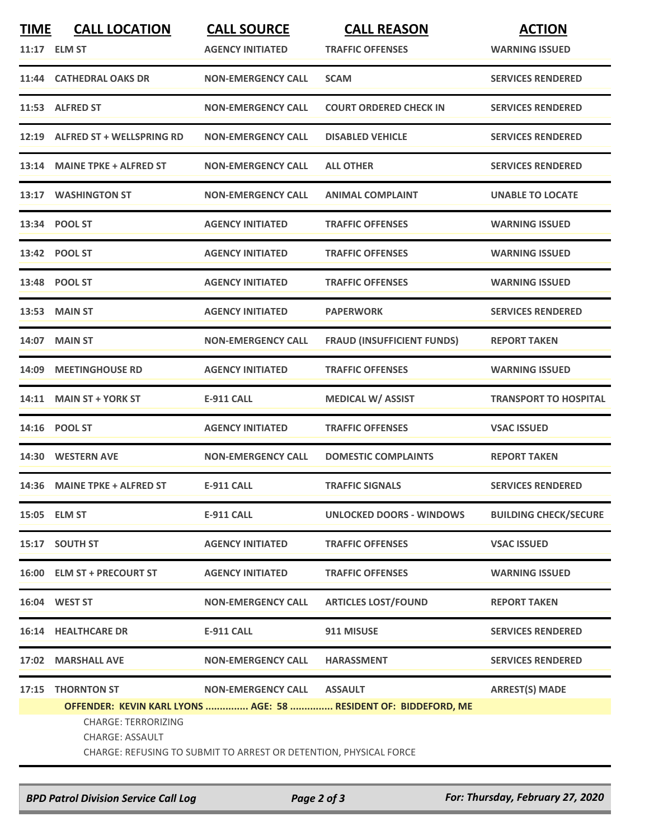| <b>TIME</b>                                                       | <b>CALL LOCATION</b>             | <b>CALL SOURCE</b>        | <b>CALL REASON</b>                                              | <b>ACTION</b>                |  |  |  |  |
|-------------------------------------------------------------------|----------------------------------|---------------------------|-----------------------------------------------------------------|------------------------------|--|--|--|--|
|                                                                   | 11:17 ELM ST                     | <b>AGENCY INITIATED</b>   | <b>TRAFFIC OFFENSES</b>                                         | <b>WARNING ISSUED</b>        |  |  |  |  |
|                                                                   | 11:44 CATHEDRAL OAKS DR          | <b>NON-EMERGENCY CALL</b> | <b>SCAM</b>                                                     | <b>SERVICES RENDERED</b>     |  |  |  |  |
|                                                                   | 11:53 ALFRED ST                  | <b>NON-EMERGENCY CALL</b> | <b>COURT ORDERED CHECK IN</b>                                   | <b>SERVICES RENDERED</b>     |  |  |  |  |
| 12:19                                                             | <b>ALFRED ST + WELLSPRING RD</b> | <b>NON-EMERGENCY CALL</b> | <b>DISABLED VEHICLE</b>                                         | <b>SERVICES RENDERED</b>     |  |  |  |  |
|                                                                   | 13:14 MAINE TPKE + ALFRED ST     | <b>NON-EMERGENCY CALL</b> | <b>ALL OTHER</b>                                                | <b>SERVICES RENDERED</b>     |  |  |  |  |
|                                                                   | 13:17 WASHINGTON ST              | <b>NON-EMERGENCY CALL</b> | <b>ANIMAL COMPLAINT</b>                                         | <b>UNABLE TO LOCATE</b>      |  |  |  |  |
|                                                                   | 13:34 POOL ST                    | <b>AGENCY INITIATED</b>   | <b>TRAFFIC OFFENSES</b>                                         | <b>WARNING ISSUED</b>        |  |  |  |  |
|                                                                   | 13:42 POOL ST                    | <b>AGENCY INITIATED</b>   | <b>TRAFFIC OFFENSES</b>                                         | <b>WARNING ISSUED</b>        |  |  |  |  |
|                                                                   | 13:48 POOL ST                    | <b>AGENCY INITIATED</b>   | <b>TRAFFIC OFFENSES</b>                                         | <b>WARNING ISSUED</b>        |  |  |  |  |
| 13:53                                                             | <b>MAIN ST</b>                   | <b>AGENCY INITIATED</b>   | <b>PAPERWORK</b>                                                | <b>SERVICES RENDERED</b>     |  |  |  |  |
| 14:07                                                             | <b>MAIN ST</b>                   | <b>NON-EMERGENCY CALL</b> | <b>FRAUD (INSUFFICIENT FUNDS)</b>                               | <b>REPORT TAKEN</b>          |  |  |  |  |
|                                                                   | 14:09 MEETINGHOUSE RD            | <b>AGENCY INITIATED</b>   | <b>TRAFFIC OFFENSES</b>                                         | <b>WARNING ISSUED</b>        |  |  |  |  |
| 14:11                                                             | <b>MAIN ST + YORK ST</b>         | <b>E-911 CALL</b>         | <b>MEDICAL W/ ASSIST</b>                                        | <b>TRANSPORT TO HOSPITAL</b> |  |  |  |  |
| 14:16                                                             | <b>POOL ST</b>                   | <b>AGENCY INITIATED</b>   | <b>TRAFFIC OFFENSES</b>                                         | <b>VSAC ISSUED</b>           |  |  |  |  |
|                                                                   | 14:30 WESTERN AVE                | <b>NON-EMERGENCY CALL</b> | <b>DOMESTIC COMPLAINTS</b>                                      | <b>REPORT TAKEN</b>          |  |  |  |  |
|                                                                   | 14:36 MAINE TPKE + ALFRED ST     | <b>E-911 CALL</b>         | <b>TRAFFIC SIGNALS</b>                                          | <b>SERVICES RENDERED</b>     |  |  |  |  |
|                                                                   | 15:05 ELM ST                     | <b>E-911 CALL</b>         | UNLOCKED DOORS - WINDOWS                                        | <b>BUILDING CHECK/SECURE</b> |  |  |  |  |
|                                                                   | 15:17 SOUTH ST                   | <b>AGENCY INITIATED</b>   | <b>TRAFFIC OFFENSES</b>                                         | <b>VSAC ISSUED</b>           |  |  |  |  |
|                                                                   | 16:00 ELM ST + PRECOURT ST       | <b>AGENCY INITIATED</b>   | <b>TRAFFIC OFFENSES</b>                                         | <b>WARNING ISSUED</b>        |  |  |  |  |
|                                                                   | 16:04 WEST ST                    | <b>NON-EMERGENCY CALL</b> | <b>ARTICLES LOST/FOUND</b>                                      | <b>REPORT TAKEN</b>          |  |  |  |  |
|                                                                   | <b>16:14 HEALTHCARE DR</b>       | <b>E-911 CALL</b>         | 911 MISUSE                                                      | <b>SERVICES RENDERED</b>     |  |  |  |  |
|                                                                   | 17:02 MARSHALL AVE               | <b>NON-EMERGENCY CALL</b> | <b>HARASSMENT</b>                                               | <b>SERVICES RENDERED</b>     |  |  |  |  |
| 17:15                                                             | <b>THORNTON ST</b>               | <b>NON-EMERGENCY CALL</b> | <b>ASSAULT</b>                                                  | <b>ARREST(S) MADE</b>        |  |  |  |  |
|                                                                   |                                  |                           | OFFENDER: KEVIN KARL LYONS  AGE: 58  RESIDENT OF: BIDDEFORD, ME |                              |  |  |  |  |
|                                                                   | <b>CHARGE: TERRORIZING</b>       |                           |                                                                 |                              |  |  |  |  |
|                                                                   |                                  |                           |                                                                 |                              |  |  |  |  |
| CHARGE: REFUSING TO SUBMIT TO ARREST OR DETENTION, PHYSICAL FORCE |                                  |                           |                                                                 |                              |  |  |  |  |
|                                                                   |                                  |                           |                                                                 |                              |  |  |  |  |